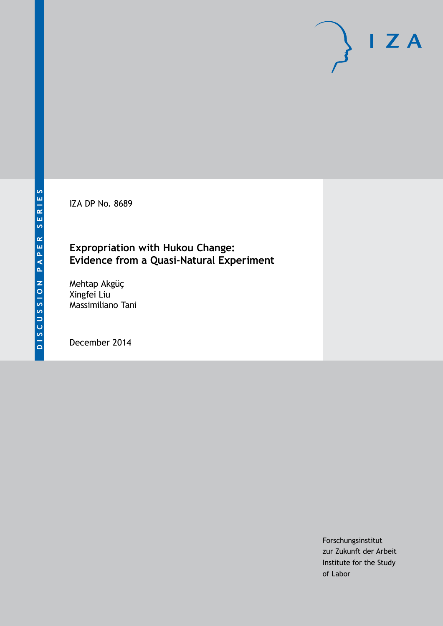IZA DP No. 8689

# **Expropriation with Hukou Change: Evidence from a Quasi-Natural Experiment**

Mehtap Akgüç Xingfei Liu Massimiliano Tani

December 2014

Forschungsinstitut zur Zukunft der Arbeit Institute for the Study of Labor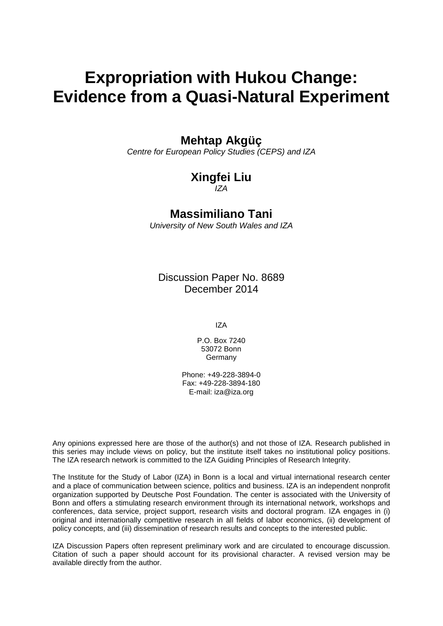# **Expropriation with Hukou Change: Evidence from a Quasi-Natural Experiment**

### **Mehtap Akgüç**

*Centre for European Policy Studies (CEPS) and IZA*

# **Xingfei Liu**

*IZA*

### **Massimiliano Tani**

*University of New South Wales and IZA*

Discussion Paper No. 8689 December 2014

IZA

P.O. Box 7240 53072 Bonn **Germany** 

Phone: +49-228-3894-0 Fax: +49-228-3894-180 E-mail: [iza@iza.org](mailto:iza@iza.org)

Any opinions expressed here are those of the author(s) and not those of IZA. Research published in this series may include views on policy, but the institute itself takes no institutional policy positions. The IZA research network is committed to the IZA Guiding Principles of Research Integrity.

The Institute for the Study of Labor (IZA) in Bonn is a local and virtual international research center and a place of communication between science, politics and business. IZA is an independent nonprofit organization supported by Deutsche Post Foundation. The center is associated with the University of Bonn and offers a stimulating research environment through its international network, workshops and conferences, data service, project support, research visits and doctoral program. IZA engages in (i) original and internationally competitive research in all fields of labor economics, (ii) development of policy concepts, and (iii) dissemination of research results and concepts to the interested public.

<span id="page-1-0"></span>IZA Discussion Papers often represent preliminary work and are circulated to encourage discussion. Citation of such a paper should account for its provisional character. A revised version may be available directly from the author.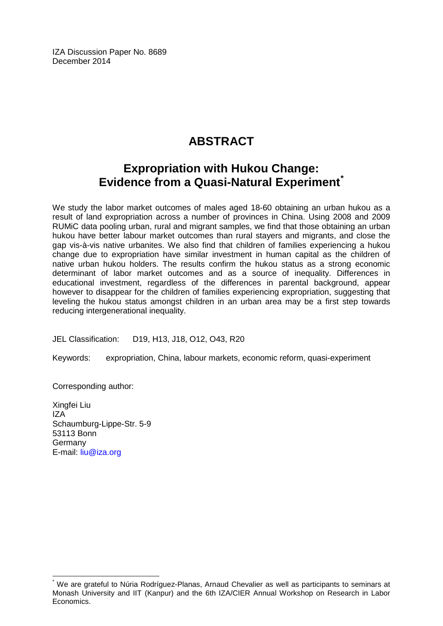IZA Discussion Paper No. 8689 December 2014

# **ABSTRACT**

# **Expropriation with Hukou Change: Evidence from a Quasi-Natural Experiment[\\*](#page-1-0)**

We study the labor market outcomes of males aged 18-60 obtaining an urban hukou as a result of land expropriation across a number of provinces in China. Using 2008 and 2009 RUMiC data pooling urban, rural and migrant samples, we find that those obtaining an urban hukou have better labour market outcomes than rural stayers and migrants, and close the gap vis-à-vis native urbanites. We also find that children of families experiencing a hukou change due to expropriation have similar investment in human capital as the children of native urban hukou holders. The results confirm the hukou status as a strong economic determinant of labor market outcomes and as a source of inequality. Differences in educational investment, regardless of the differences in parental background, appear however to disappear for the children of families experiencing expropriation, suggesting that leveling the hukou status amongst children in an urban area may be a first step towards reducing intergenerational inequality.

JEL Classification: D19, H13, J18, O12, O43, R20

Keywords: expropriation, China, labour markets, economic reform, quasi-experiment

Corresponding author:

Xingfei Liu IZA Schaumburg-Lippe-Str. 5-9 53113 Bonn Germany E-mail: [liu@iza.org](mailto:liu@iza.org)

We are grateful to Núria Rodríguez-Planas, Arnaud Chevalier as well as participants to seminars at Monash University and IIT (Kanpur) and the 6th IZA/CIER Annual Workshop on Research in Labor Economics.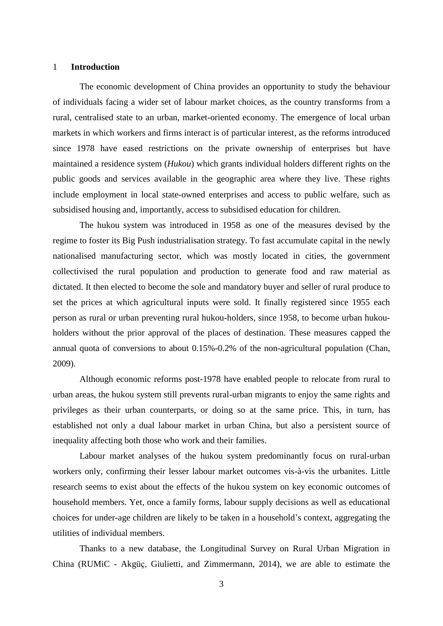#### 1 **Introduction**

The economic development of China provides an opportunity to study the behaviour of individuals facing a wider set of labour market choices, as the country transforms from a rural, centralised state to an urban, market-oriented economy. The emergence of local urban markets in which workers and firms interact is of particular interest, as the reforms introduced since 1978 have eased restrictions on the private ownership of enterprises but have maintained a residence system (*Hukou*) which grants individual holders different rights on the public goods and services available in the geographic area where they live. These rights include employment in local state-owned enterprises and access to public welfare, such as subsidised housing and, importantly, access to subsidised education for children.

The hukou system was introduced in 1958 as one of the measures devised by the regime to foster its Big Push industrialisation strategy. To fast accumulate capital in the newly nationalised manufacturing sector, which was mostly located in cities, the government collectivised the rural population and production to generate food and raw material as dictated. It then elected to become the sole and mandatory buyer and seller of rural produce to set the prices at which agricultural inputs were sold. It finally registered since 1955 each person as rural or urban preventing rural hukou-holders, since 1958, to become urban hukouholders without the prior approval of the places of destination. These measures capped the annual quota of conversions to about 0.15%-0.2% of the non-agricultural population (Chan, 2009).

Although economic reforms post-1978 have enabled people to relocate from rural to urban areas, the hukou system still prevents rural-urban migrants to enjoy the same rights and privileges as their urban counterparts, or doing so at the same price. This, in turn, has established not only a dual labour market in urban China, but also a persistent source of inequality affecting both those who work and their families.

Labour market analyses of the hukou system predominantly focus on rural-urban workers only, confirming their lesser labour market outcomes vis-à-vis the urbanites. Little research seems to exist about the effects of the hukou system on key economic outcomes of household members. Yet, once a family forms, labour supply decisions as well as educational choices for under-age children are likely to be taken in a household"s context, aggregating the utilities of individual members.

Thanks to a new database, the Longitudinal Survey on Rural Urban Migration in China (RUMiC - Akgüҫ, Giulietti, and Zimmermann, 2014), we are able to estimate the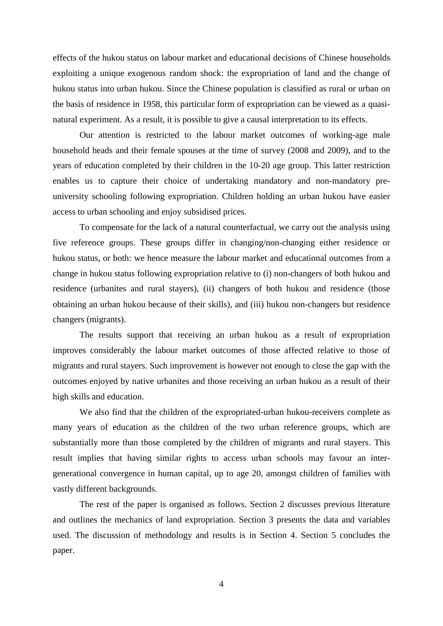effects of the hukou status on labour market and educational decisions of Chinese households exploiting a unique exogenous random shock: the expropriation of land and the change of hukou status into urban hukou. Since the Chinese population is classified as rural or urban on the basis of residence in 1958, this particular form of expropriation can be viewed as a quasinatural experiment. As a result, it is possible to give a causal interpretation to its effects.

Our attention is restricted to the labour market outcomes of working-age male household heads and their female spouses at the time of survey (2008 and 2009), and to the years of education completed by their children in the 10-20 age group. This latter restriction enables us to capture their choice of undertaking mandatory and non-mandatory preuniversity schooling following expropriation. Children holding an urban hukou have easier access to urban schooling and enjoy subsidised prices.

To compensate for the lack of a natural counterfactual, we carry out the analysis using five reference groups. These groups differ in changing/non-changing either residence or hukou status, or both: we hence measure the labour market and educational outcomes from a change in hukou status following expropriation relative to (i) non-changers of both hukou and residence (urbanites and rural stayers), (ii) changers of both hukou and residence (those obtaining an urban hukou because of their skills), and (iii) hukou non-changers but residence changers (migrants).

The results support that receiving an urban hukou as a result of expropriation improves considerably the labour market outcomes of those affected relative to those of migrants and rural stayers. Such improvement is however not enough to close the gap with the outcomes enjoyed by native urbanites and those receiving an urban hukou as a result of their high skills and education.

We also find that the children of the expropriated-urban hukou-receivers complete as many years of education as the children of the two urban reference groups, which are substantially more than those completed by the children of migrants and rural stayers. This result implies that having similar rights to access urban schools may favour an intergenerational convergence in human capital, up to age 20, amongst children of families with vastly different backgrounds.

The rest of the paper is organised as follows. Section 2 discusses previous literature and outlines the mechanics of land expropriation. Section 3 presents the data and variables used. The discussion of methodology and results is in Section 4. Section 5 concludes the paper.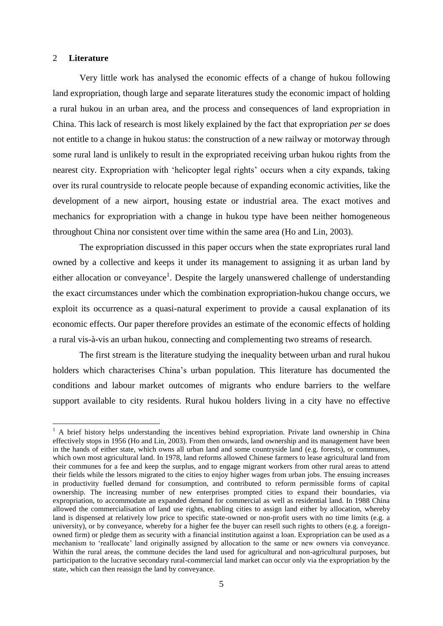#### 2 **Literature**

 $\overline{a}$ 

Very little work has analysed the economic effects of a change of hukou following land expropriation, though large and separate literatures study the economic impact of holding a rural hukou in an urban area, and the process and consequences of land expropriation in China. This lack of research is most likely explained by the fact that expropriation *per se* does not entitle to a change in hukou status: the construction of a new railway or motorway through some rural land is unlikely to result in the expropriated receiving urban hukou rights from the nearest city. Expropriation with 'helicopter legal rights' occurs when a city expands, taking over its rural countryside to relocate people because of expanding economic activities, like the development of a new airport, housing estate or industrial area. The exact motives and mechanics for expropriation with a change in hukou type have been neither homogeneous throughout China nor consistent over time within the same area (Ho and Lin, 2003).

The expropriation discussed in this paper occurs when the state expropriates rural land owned by a collective and keeps it under its management to assigning it as urban land by either allocation or conveyance<sup>1</sup>. Despite the largely unanswered challenge of understanding the exact circumstances under which the combination expropriation-hukou change occurs, we exploit its occurrence as a quasi-natural experiment to provide a causal explanation of its economic effects. Our paper therefore provides an estimate of the economic effects of holding a rural vis-à-vis an urban hukou, connecting and complementing two streams of research.

The first stream is the literature studying the inequality between urban and rural hukou holders which characterises China"s urban population. This literature has documented the conditions and labour market outcomes of migrants who endure barriers to the welfare support available to city residents. Rural hukou holders living in a city have no effective

 $<sup>1</sup>$  A brief history helps understanding the incentives behind expropriation. Private land ownership in China</sup> effectively stops in 1956 (Ho and Lin, 2003). From then onwards, land ownership and its management have been in the hands of either state, which owns all urban land and some countryside land (e.g. forests), or communes, which own most agricultural land. In 1978, land reforms allowed Chinese farmers to lease agricultural land from their communes for a fee and keep the surplus, and to engage migrant workers from other rural areas to attend their fields while the lessors migrated to the cities to enjoy higher wages from urban jobs. The ensuing increases in productivity fuelled demand for consumption, and contributed to reform permissible forms of capital ownership. The increasing number of new enterprises prompted cities to expand their boundaries, via expropriation, to accommodate an expanded demand for commercial as well as residential land. In 1988 China allowed the commercialisation of land use rights, enabling cities to assign land either by allocation, whereby land is dispensed at relatively low price to specific state-owned or non-profit users with no time limits (e.g. a university), or by conveyance, whereby for a higher fee the buyer can resell such rights to others (e.g. a foreignowned firm) or pledge them as security with a financial institution against a loan. Expropriation can be used as a mechanism to 'reallocate' land originally assigned by allocation to the same or new owners via conveyance. Within the rural areas, the commune decides the land used for agricultural and non-agricultural purposes, but participation to the lucrative secondary rural-commercial land market can occur only via the expropriation by the state, which can then reassign the land by conveyance.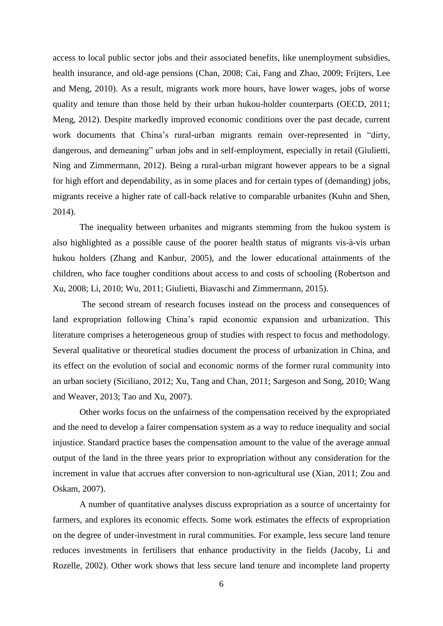access to local public sector jobs and their associated benefits, like unemployment subsidies, health insurance, and old-age pensions (Chan, 2008; Cai, Fang and Zhao, 2009; Frijters, Lee and Meng, 2010). As a result, migrants work more hours, have lower wages, jobs of worse quality and tenure than those held by their urban hukou-holder counterparts (OECD, 2011; Meng, 2012). Despite markedly improved economic conditions over the past decade, current work documents that China's rural-urban migrants remain over-represented in "dirty, dangerous, and demeaning" urban jobs and in self-employment, especially in retail (Giulietti, Ning and Zimmermann, 2012). Being a rural-urban migrant however appears to be a signal for high effort and dependability, as in some places and for certain types of (demanding) jobs, migrants receive a higher rate of call-back relative to comparable urbanites (Kuhn and Shen, 2014).

The inequality between urbanites and migrants stemming from the hukou system is also highlighted as a possible cause of the poorer health status of migrants vis-à-vis urban hukou holders (Zhang and Kanbur, 2005), and the lower educational attainments of the children, who face tougher conditions about access to and costs of schooling (Robertson and Xu, 2008; Li, 2010; Wu, 2011; Giulietti, Biavaschi and Zimmermann, 2015).

The second stream of research focuses instead on the process and consequences of land expropriation following China"s rapid economic expansion and urbanization. This literature comprises a heterogeneous group of studies with respect to focus and methodology. Several qualitative or theoretical studies document the process of urbanization in China, and its effect on the evolution of social and economic norms of the former rural community into an urban society (Siciliano, 2012; Xu, Tang and Chan, 2011; Sargeson and Song, 2010; Wang and Weaver, 2013; Tao and Xu, 2007).

Other works focus on the unfairness of the compensation received by the expropriated and the need to develop a fairer compensation system as a way to reduce inequality and social injustice. Standard practice bases the compensation amount to the value of the average annual output of the land in the three years prior to expropriation without any consideration for the increment in value that accrues after conversion to non-agricultural use (Xian, 2011; Zou and Oskam, 2007).

A number of quantitative analyses discuss expropriation as a source of uncertainty for farmers, and explores its economic effects. Some work estimates the effects of expropriation on the degree of under-investment in rural communities. For example, less secure land tenure reduces investments in fertilisers that enhance productivity in the fields (Jacoby, Li and Rozelle, 2002). Other work shows that less secure land tenure and incomplete land property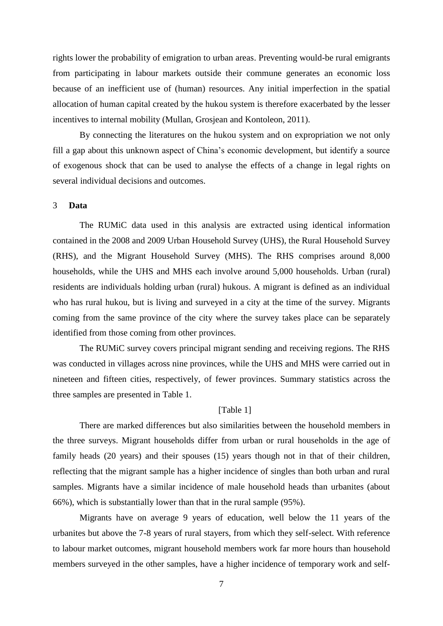rights lower the probability of emigration to urban areas. Preventing would-be rural emigrants from participating in labour markets outside their commune generates an economic loss because of an inefficient use of (human) resources. Any initial imperfection in the spatial allocation of human capital created by the hukou system is therefore exacerbated by the lesser incentives to internal mobility (Mullan, Grosjean and Kontoleon, 2011).

By connecting the literatures on the hukou system and on expropriation we not only fill a gap about this unknown aspect of China"s economic development, but identify a source of exogenous shock that can be used to analyse the effects of a change in legal rights on several individual decisions and outcomes.

#### 3 **Data**

The RUMiC data used in this analysis are extracted using identical information contained in the 2008 and 2009 Urban Household Survey (UHS), the Rural Household Survey (RHS), and the Migrant Household Survey (MHS). The RHS comprises around 8,000 households, while the UHS and MHS each involve around 5,000 households. Urban (rural) residents are individuals holding urban (rural) hukous. A migrant is defined as an individual who has rural hukou, but is living and surveyed in a city at the time of the survey. Migrants coming from the same province of the city where the survey takes place can be separately identified from those coming from other provinces.

The RUMiC survey covers principal migrant sending and receiving regions. The RHS was conducted in villages across nine provinces, while the UHS and MHS were carried out in nineteen and fifteen cities, respectively, of fewer provinces. Summary statistics across the three samples are presented in Table 1.

#### [Table 1]

There are marked differences but also similarities between the household members in the three surveys. Migrant households differ from urban or rural households in the age of family heads (20 years) and their spouses (15) years though not in that of their children, reflecting that the migrant sample has a higher incidence of singles than both urban and rural samples. Migrants have a similar incidence of male household heads than urbanites (about 66%), which is substantially lower than that in the rural sample (95%).

Migrants have on average 9 years of education, well below the 11 years of the urbanites but above the 7-8 years of rural stayers, from which they self-select. With reference to labour market outcomes, migrant household members work far more hours than household members surveyed in the other samples, have a higher incidence of temporary work and self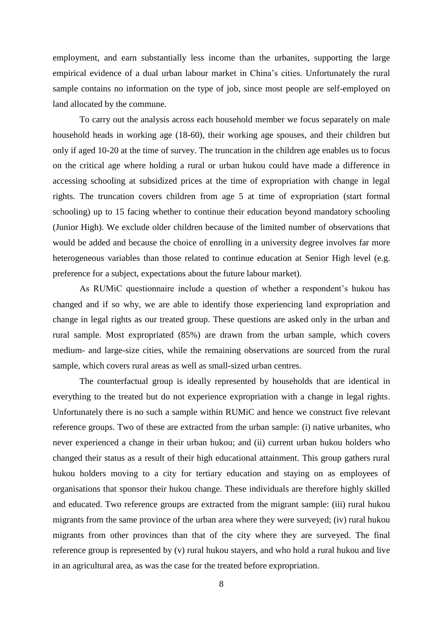employment, and earn substantially less income than the urbanites, supporting the large empirical evidence of a dual urban labour market in China"s cities. Unfortunately the rural sample contains no information on the type of job, since most people are self-employed on land allocated by the commune.

To carry out the analysis across each household member we focus separately on male household heads in working age (18-60), their working age spouses, and their children but only if aged 10-20 at the time of survey. The truncation in the children age enables us to focus on the critical age where holding a rural or urban hukou could have made a difference in accessing schooling at subsidized prices at the time of expropriation with change in legal rights. The truncation covers children from age 5 at time of expropriation (start formal schooling) up to 15 facing whether to continue their education beyond mandatory schooling (Junior High). We exclude older children because of the limited number of observations that would be added and because the choice of enrolling in a university degree involves far more heterogeneous variables than those related to continue education at Senior High level (e.g. preference for a subject, expectations about the future labour market).

As RUMiC questionnaire include a question of whether a respondent's hukou has changed and if so why, we are able to identify those experiencing land expropriation and change in legal rights as our treated group. These questions are asked only in the urban and rural sample. Most expropriated (85%) are drawn from the urban sample, which covers medium- and large-size cities, while the remaining observations are sourced from the rural sample, which covers rural areas as well as small-sized urban centres.

The counterfactual group is ideally represented by households that are identical in everything to the treated but do not experience expropriation with a change in legal rights. Unfortunately there is no such a sample within RUMiC and hence we construct five relevant reference groups. Two of these are extracted from the urban sample: (i) native urbanites, who never experienced a change in their urban hukou; and (ii) current urban hukou holders who changed their status as a result of their high educational attainment. This group gathers rural hukou holders moving to a city for tertiary education and staying on as employees of organisations that sponsor their hukou change. These individuals are therefore highly skilled and educated. Two reference groups are extracted from the migrant sample: (iii) rural hukou migrants from the same province of the urban area where they were surveyed; (iv) rural hukou migrants from other provinces than that of the city where they are surveyed. The final reference group is represented by (v) rural hukou stayers, and who hold a rural hukou and live in an agricultural area, as was the case for the treated before expropriation.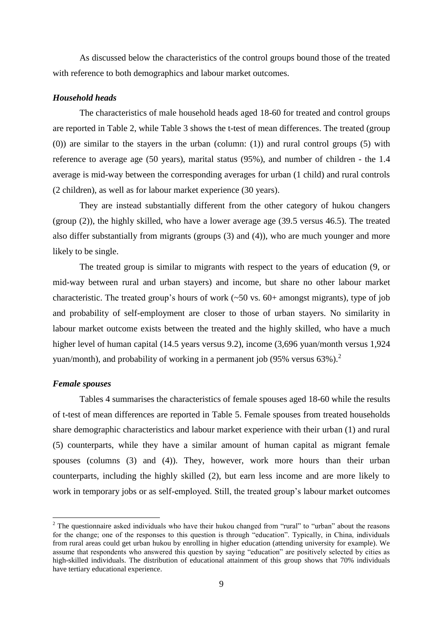As discussed below the characteristics of the control groups bound those of the treated with reference to both demographics and labour market outcomes.

#### *Household heads*

The characteristics of male household heads aged 18-60 for treated and control groups are reported in Table 2, while Table 3 shows the t-test of mean differences. The treated (group (0)) are similar to the stayers in the urban (column: (1)) and rural control groups (5) with reference to average age (50 years), marital status (95%), and number of children - the 1.4 average is mid-way between the corresponding averages for urban (1 child) and rural controls (2 children), as well as for labour market experience (30 years).

They are instead substantially different from the other category of hukou changers (group (2)), the highly skilled, who have a lower average age (39.5 versus 46.5). The treated also differ substantially from migrants (groups (3) and (4)), who are much younger and more likely to be single.

The treated group is similar to migrants with respect to the years of education (9, or mid-way between rural and urban stayers) and income, but share no other labour market characteristic. The treated group's hours of work  $(\sim 50 \text{ vs. } 60+\text{ amongst migrants})$ , type of job and probability of self-employment are closer to those of urban stayers. No similarity in labour market outcome exists between the treated and the highly skilled, who have a much higher level of human capital (14.5 years versus 9.2), income (3,696 yuan/month versus 1,924 yuan/month), and probability of working in a permanent job (95% versus  $63\%$ ).<sup>2</sup>

#### *Female spouses*

 $\overline{a}$ 

Tables 4 summarises the characteristics of female spouses aged 18-60 while the results of t-test of mean differences are reported in Table 5. Female spouses from treated households share demographic characteristics and labour market experience with their urban (1) and rural (5) counterparts, while they have a similar amount of human capital as migrant female spouses (columns (3) and (4)). They, however, work more hours than their urban counterparts, including the highly skilled (2), but earn less income and are more likely to work in temporary jobs or as self-employed. Still, the treated group's labour market outcomes

<sup>&</sup>lt;sup>2</sup> The questionnaire asked individuals who have their hukou changed from "rural" to "urban" about the reasons for the change; one of the responses to this question is through "education". Typically, in China, individuals from rural areas could get urban hukou by enrolling in higher education (attending university for example). We assume that respondents who answered this question by saying "education" are positively selected by cities as high-skilled individuals. The distribution of educational attainment of this group shows that 70% individuals have tertiary educational experience.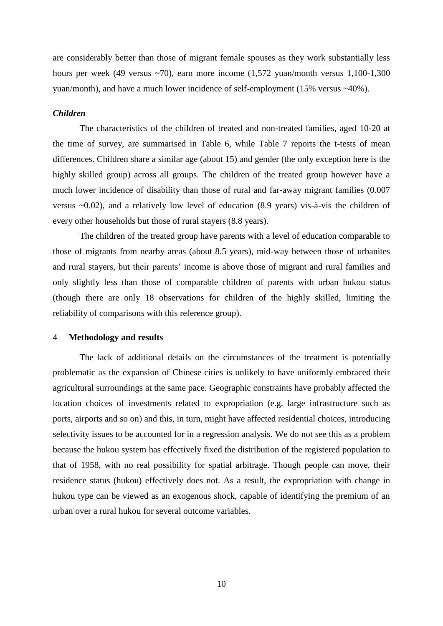are considerably better than those of migrant female spouses as they work substantially less hours per week (49 versus ~70), earn more income (1,572 yuan/month versus 1,100-1,300 yuan/month), and have a much lower incidence of self-employment (15% versus ~40%).

#### *Children*

The characteristics of the children of treated and non-treated families, aged 10-20 at the time of survey, are summarised in Table 6, while Table 7 reports the t-tests of mean differences. Children share a similar age (about 15) and gender (the only exception here is the highly skilled group) across all groups. The children of the treated group however have a much lower incidence of disability than those of rural and far-away migrant families (0.007 versus ~0.02), and a relatively low level of education (8.9 years) vis-à-vis the children of every other households but those of rural stayers (8.8 years).

The children of the treated group have parents with a level of education comparable to those of migrants from nearby areas (about 8.5 years), mid-way between those of urbanites and rural stayers, but their parents' income is above those of migrant and rural families and only slightly less than those of comparable children of parents with urban hukou status (though there are only 18 observations for children of the highly skilled, limiting the reliability of comparisons with this reference group).

#### 4 **Methodology and results**

The lack of additional details on the circumstances of the treatment is potentially problematic as the expansion of Chinese cities is unlikely to have uniformly embraced their agricultural surroundings at the same pace. Geographic constraints have probably affected the location choices of investments related to expropriation (e.g. large infrastructure such as ports, airports and so on) and this, in turn, might have affected residential choices, introducing selectivity issues to be accounted for in a regression analysis. We do not see this as a problem because the hukou system has effectively fixed the distribution of the registered population to that of 1958, with no real possibility for spatial arbitrage. Though people can move, their residence status (hukou) effectively does not. As a result, the expropriation with change in hukou type can be viewed as an exogenous shock, capable of identifying the premium of an urban over a rural hukou for several outcome variables.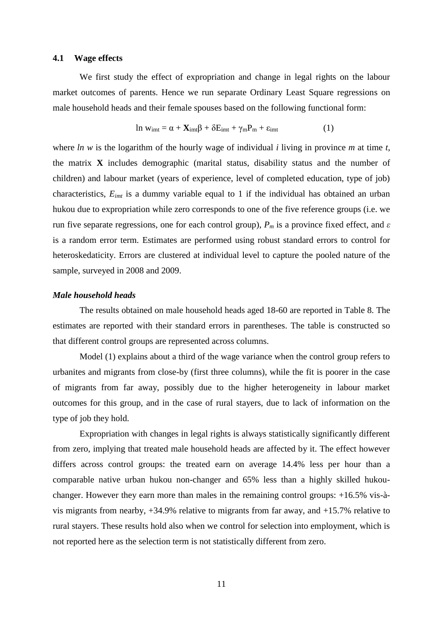#### **4.1 Wage effects**

We first study the effect of expropriation and change in legal rights on the labour market outcomes of parents. Hence we run separate Ordinary Least Square regressions on male household heads and their female spouses based on the following functional form:

$$
\ln w_{\rm imt} = \alpha + \mathbf{X}_{\rm imt} \beta + \delta E_{\rm imt} + \gamma_{\rm m} P_{\rm m} + \varepsilon_{\rm imt} \tag{1}
$$

where *ln w* is the logarithm of the hourly wage of individual *i* living in province *m* at time *t*, the matrix **X** includes demographic (marital status, disability status and the number of children) and labour market (years of experience, level of completed education, type of job) characteristics, *Eimt* is a dummy variable equal to 1 if the individual has obtained an urban hukou due to expropriation while zero corresponds to one of the five reference groups (i.e. we run five separate regressions, one for each control group), *P<sup>m</sup>* is a province fixed effect, and *ε* is a random error term. Estimates are performed using robust standard errors to control for heteroskedaticity. Errors are clustered at individual level to capture the pooled nature of the sample, surveyed in 2008 and 2009.

#### *Male household heads*

The results obtained on male household heads aged 18-60 are reported in Table 8. The estimates are reported with their standard errors in parentheses. The table is constructed so that different control groups are represented across columns.

Model (1) explains about a third of the wage variance when the control group refers to urbanites and migrants from close-by (first three columns), while the fit is poorer in the case of migrants from far away, possibly due to the higher heterogeneity in labour market outcomes for this group, and in the case of rural stayers, due to lack of information on the type of job they hold.

Expropriation with changes in legal rights is always statistically significantly different from zero, implying that treated male household heads are affected by it. The effect however differs across control groups: the treated earn on average 14.4% less per hour than a comparable native urban hukou non-changer and 65% less than a highly skilled hukouchanger. However they earn more than males in the remaining control groups: +16.5% vis-àvis migrants from nearby, +34.9% relative to migrants from far away, and +15.7% relative to rural stayers. These results hold also when we control for selection into employment, which is not reported here as the selection term is not statistically different from zero.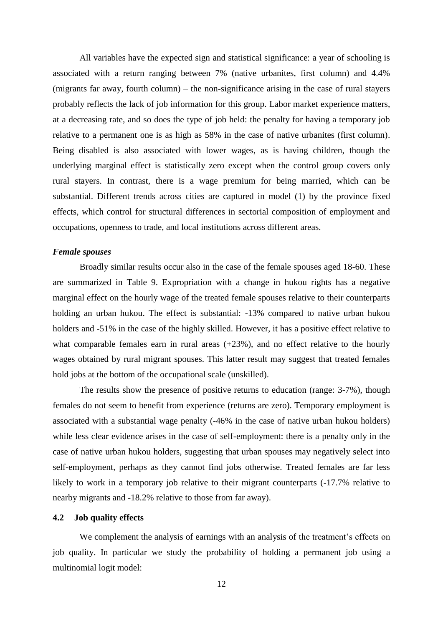All variables have the expected sign and statistical significance: a year of schooling is associated with a return ranging between 7% (native urbanites, first column) and 4.4% (migrants far away, fourth column) – the non-significance arising in the case of rural stayers probably reflects the lack of job information for this group. Labor market experience matters, at a decreasing rate, and so does the type of job held: the penalty for having a temporary job relative to a permanent one is as high as 58% in the case of native urbanites (first column). Being disabled is also associated with lower wages, as is having children, though the underlying marginal effect is statistically zero except when the control group covers only rural stayers. In contrast, there is a wage premium for being married, which can be substantial. Different trends across cities are captured in model (1) by the province fixed effects, which control for structural differences in sectorial composition of employment and occupations, openness to trade, and local institutions across different areas.

#### *Female spouses*

Broadly similar results occur also in the case of the female spouses aged 18-60. These are summarized in Table 9. Expropriation with a change in hukou rights has a negative marginal effect on the hourly wage of the treated female spouses relative to their counterparts holding an urban hukou. The effect is substantial: -13% compared to native urban hukou holders and -51% in the case of the highly skilled. However, it has a positive effect relative to what comparable females earn in rural areas  $(+23%)$ , and no effect relative to the hourly wages obtained by rural migrant spouses. This latter result may suggest that treated females hold jobs at the bottom of the occupational scale (unskilled).

The results show the presence of positive returns to education (range: 3-7%), though females do not seem to benefit from experience (returns are zero). Temporary employment is associated with a substantial wage penalty (-46% in the case of native urban hukou holders) while less clear evidence arises in the case of self-employment: there is a penalty only in the case of native urban hukou holders, suggesting that urban spouses may negatively select into self-employment, perhaps as they cannot find jobs otherwise. Treated females are far less likely to work in a temporary job relative to their migrant counterparts  $(-17.7\%$  relative to nearby migrants and -18.2% relative to those from far away).

#### **4.2 Job quality effects**

We complement the analysis of earnings with an analysis of the treatment's effects on job quality. In particular we study the probability of holding a permanent job using a multinomial logit model: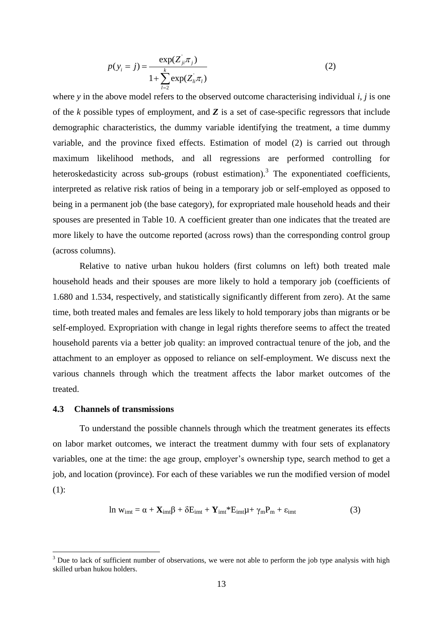$$
p(y_i = j) = \frac{\exp(Z_{ji} \pi_j)}{1 + \sum_{l=2}^{k} \exp(Z_{li} \pi_l)}
$$
(2)

where *y* in the above model refers to the observed outcome characterising individual *i*, *j* is one of the *k* possible types of employment, and *Z* is a set of case-specific regressors that include demographic characteristics, the dummy variable identifying the treatment, a time dummy variable, and the province fixed effects. Estimation of model (2) is carried out through maximum likelihood methods, and all regressions are performed controlling for heteroskedasticity across sub-groups (robust estimation).<sup>3</sup> The exponentiated coefficients, interpreted as relative risk ratios of being in a temporary job or self-employed as opposed to being in a permanent job (the base category), for expropriated male household heads and their spouses are presented in Table 10. A coefficient greater than one indicates that the treated are more likely to have the outcome reported (across rows) than the corresponding control group (across columns).

Relative to native urban hukou holders (first columns on left) both treated male household heads and their spouses are more likely to hold a temporary job (coefficients of 1.680 and 1.534, respectively, and statistically significantly different from zero). At the same time, both treated males and females are less likely to hold temporary jobs than migrants or be self-employed. Expropriation with change in legal rights therefore seems to affect the treated household parents via a better job quality: an improved contractual tenure of the job, and the attachment to an employer as opposed to reliance on self-employment. We discuss next the various channels through which the treatment affects the labor market outcomes of the treated.

#### **4.3 Channels of transmissions**

 $\overline{a}$ 

To understand the possible channels through which the treatment generates its effects on labor market outcomes, we interact the treatment dummy with four sets of explanatory variables, one at the time: the age group, employer's ownership type, search method to get a job, and location (province). For each of these variables we run the modified version of model  $(1)$ :

$$
\ln w_{\text{imt}} = \alpha + \mathbf{X}_{\text{imt}}\beta + \delta E_{\text{imt}} + \mathbf{Y}_{\text{imt}} * E_{\text{imt}}\mu + \gamma_{\text{m}}P_{\text{m}} + \varepsilon_{\text{imt}} \tag{3}
$$

 $3$  Due to lack of sufficient number of observations, we were not able to perform the job type analysis with high skilled urban hukou holders.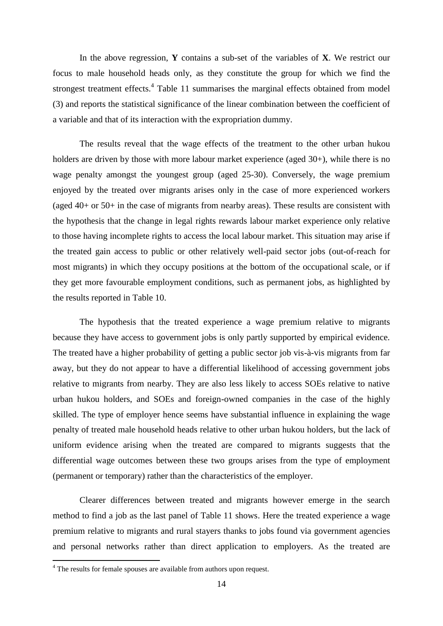In the above regression, **Y** contains a sub-set of the variables of **X**. We restrict our focus to male household heads only, as they constitute the group for which we find the strongest treatment effects.<sup>4</sup> Table 11 summarises the marginal effects obtained from model (3) and reports the statistical significance of the linear combination between the coefficient of a variable and that of its interaction with the expropriation dummy.

The results reveal that the wage effects of the treatment to the other urban hukou holders are driven by those with more labour market experience (aged 30+), while there is no wage penalty amongst the youngest group (aged 25-30). Conversely, the wage premium enjoyed by the treated over migrants arises only in the case of more experienced workers (aged 40+ or 50+ in the case of migrants from nearby areas). These results are consistent with the hypothesis that the change in legal rights rewards labour market experience only relative to those having incomplete rights to access the local labour market. This situation may arise if the treated gain access to public or other relatively well-paid sector jobs (out-of-reach for most migrants) in which they occupy positions at the bottom of the occupational scale, or if they get more favourable employment conditions, such as permanent jobs, as highlighted by the results reported in Table 10.

The hypothesis that the treated experience a wage premium relative to migrants because they have access to government jobs is only partly supported by empirical evidence. The treated have a higher probability of getting a public sector job vis-à-vis migrants from far away, but they do not appear to have a differential likelihood of accessing government jobs relative to migrants from nearby. They are also less likely to access SOEs relative to native urban hukou holders, and SOEs and foreign-owned companies in the case of the highly skilled. The type of employer hence seems have substantial influence in explaining the wage penalty of treated male household heads relative to other urban hukou holders, but the lack of uniform evidence arising when the treated are compared to migrants suggests that the differential wage outcomes between these two groups arises from the type of employment (permanent or temporary) rather than the characteristics of the employer.

Clearer differences between treated and migrants however emerge in the search method to find a job as the last panel of Table 11 shows. Here the treated experience a wage premium relative to migrants and rural stayers thanks to jobs found via government agencies and personal networks rather than direct application to employers. As the treated are

 $\overline{a}$ 

<sup>&</sup>lt;sup>4</sup> The results for female spouses are available from authors upon request.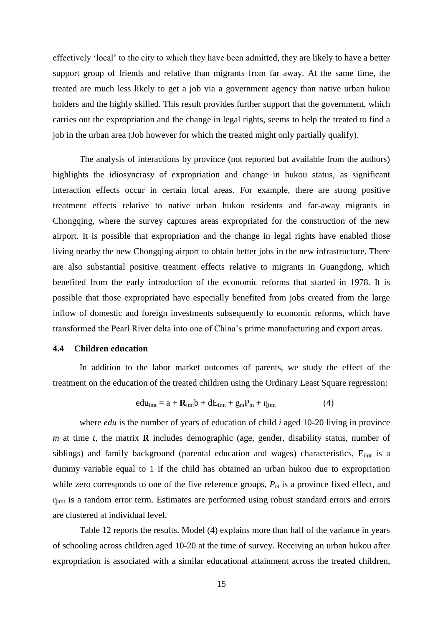effectively "local" to the city to which they have been admitted, they are likely to have a better support group of friends and relative than migrants from far away. At the same time, the treated are much less likely to get a job via a government agency than native urban hukou holders and the highly skilled. This result provides further support that the government, which carries out the expropriation and the change in legal rights, seems to help the treated to find a job in the urban area (Job however for which the treated might only partially qualify).

The analysis of interactions by province (not reported but available from the authors) highlights the idiosyncrasy of expropriation and change in hukou status, as significant interaction effects occur in certain local areas. For example, there are strong positive treatment effects relative to native urban hukou residents and far-away migrants in Chongqing, where the survey captures areas expropriated for the construction of the new airport. It is possible that expropriation and the change in legal rights have enabled those living nearby the new Chongqing airport to obtain better jobs in the new infrastructure. There are also substantial positive treatment effects relative to migrants in Guangdong, which benefited from the early introduction of the economic reforms that started in 1978. It is possible that those expropriated have especially benefited from jobs created from the large inflow of domestic and foreign investments subsequently to economic reforms, which have transformed the Pearl River delta into one of China"s prime manufacturing and export areas.

#### **4.4 Children education**

In addition to the labor market outcomes of parents, we study the effect of the treatment on the education of the treated children using the Ordinary Least Square regression:

$$
edu_{imt} = a + \mathbf{R}_{imt}b + dE_{imt} + g_m P_m + \eta_{imt}
$$
 (4)

where *edu* is the number of years of education of child *i* aged 10-20 living in province *m* at time *t*, the matrix **R** includes demographic (age, gender, disability status, number of siblings) and family background (parental education and wages) characteristics,  $E_{imt}$  is a dummy variable equal to 1 if the child has obtained an urban hukou due to expropriation while zero corresponds to one of the five reference groups, *P<sup>m</sup>* is a province fixed effect, and  $\eta_{imt}$  is a random error term. Estimates are performed using robust standard errors and errors are clustered at individual level.

Table 12 reports the results. Model (4) explains more than half of the variance in years of schooling across children aged 10-20 at the time of survey. Receiving an urban hukou after expropriation is associated with a similar educational attainment across the treated children,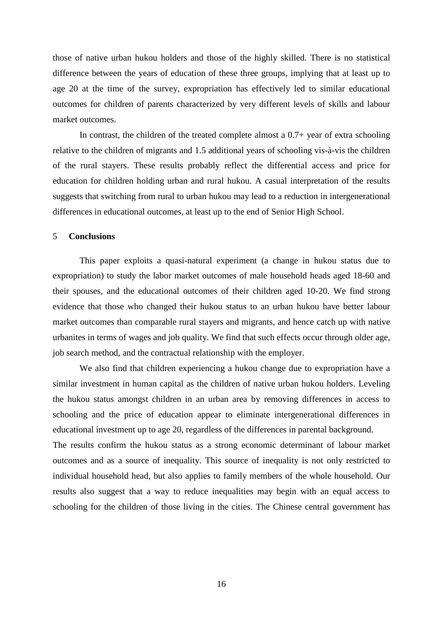those of native urban hukou holders and those of the highly skilled. There is no statistical difference between the years of education of these three groups, implying that at least up to age 20 at the time of the survey, expropriation has effectively led to similar educational outcomes for children of parents characterized by very different levels of skills and labour market outcomes.

In contrast, the children of the treated complete almost a  $0.7+$  year of extra schooling relative to the children of migrants and 1.5 additional years of schooling vis-à-vis the children of the rural stayers. These results probably reflect the differential access and price for education for children holding urban and rural hukou. A casual interpretation of the results suggests that switching from rural to urban hukou may lead to a reduction in intergenerational differences in educational outcomes, at least up to the end of Senior High School.

#### 5 **Conclusions**

This paper exploits a quasi-natural experiment (a change in hukou status due to expropriation) to study the labor market outcomes of male household heads aged 18-60 and their spouses, and the educational outcomes of their children aged 10-20. We find strong evidence that those who changed their hukou status to an urban hukou have better labour market outcomes than comparable rural stayers and migrants, and hence catch up with native urbanites in terms of wages and job quality. We find that such effects occur through older age, job search method, and the contractual relationship with the employer.

We also find that children experiencing a hukou change due to expropriation have a similar investment in human capital as the children of native urban hukou holders. Leveling the hukou status amongst children in an urban area by removing differences in access to schooling and the price of education appear to eliminate intergenerational differences in educational investment up to age 20, regardless of the differences in parental background. The results confirm the hukou status as a strong economic determinant of labour market outcomes and as a source of inequality. This source of inequality is not only restricted to individual household head, but also applies to family members of the whole household. Our results also suggest that a way to reduce inequalities may begin with an equal access to schooling for the children of those living in the cities. The Chinese central government has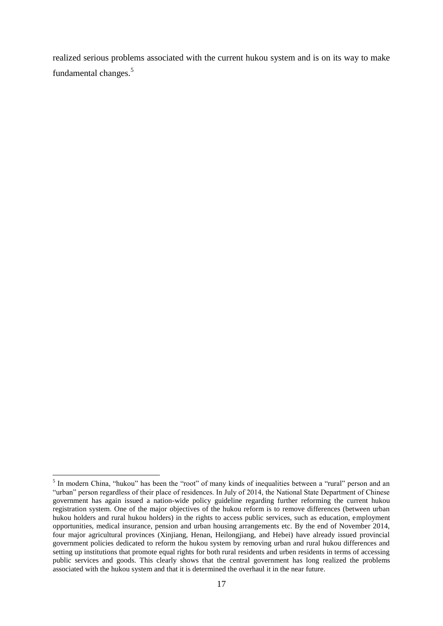realized serious problems associated with the current hukou system and is on its way to make fundamental changes.<sup>5</sup>

 $\overline{a}$ 

<sup>&</sup>lt;sup>5</sup> In modern China, "hukou" has been the "root" of many kinds of inequalities between a "rural" person and an "urban" person regardless of their place of residences. In July of 2014, the National State Department of Chinese government has again issued a nation-wide policy guideline regarding further reforming the current hukou registration system. One of the major objectives of the hukou reform is to remove differences (between urban hukou holders and rural hukou holders) in the rights to access public services, such as education, employment opportunities, medical insurance, pension and urban housing arrangements etc. By the end of November 2014, four major agricultural provinces (Xinjiang, Henan, Heilongjiang, and Hebei) have already issued provincial government policies dedicated to reform the hukou system by removing urban and rural hukou differences and setting up institutions that promote equal rights for both rural residents and urben residents in terms of accessing public services and goods. This clearly shows that the central government has long realized the problems associated with the hukou system and that it is determined the overhaul it in the near future.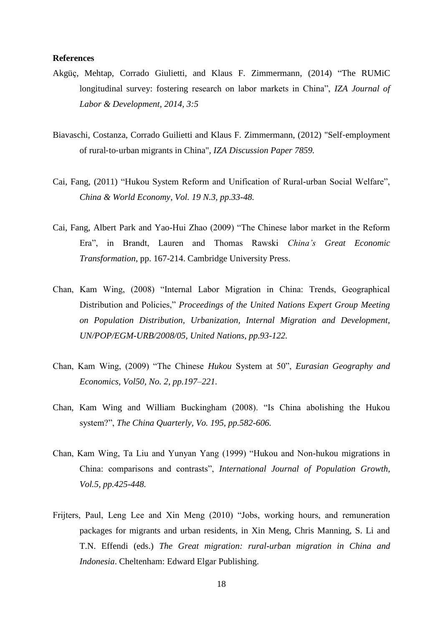#### **References**

- Akgüҫ, Mehtap, Corrado Giulietti, and Klaus F. Zimmermann, (2014) "The RUMiC longitudinal survey: fostering research on labor markets in China", *IZA Journal of Labor & Development, 2014, 3:5*
- Biavaschi, Costanza, Corrado Guilietti and Klaus F. Zimmermann, (2012) "Self‐employment of rural‐to‐urban migrants in China", *IZA Discussion Paper 7859.*
- Cai, Fang, (2011) "Hukou System Reform and Unification of Rural-urban Social Welfare", *China & World Economy, Vol. 19 N.3, pp.33-48.*
- Cai, Fang, Albert Park and Yao-Hui Zhao (2009) "The Chinese labor market in the Reform Era", in Brandt, Lauren and Thomas Rawski *China's Great Economic Transformation*, pp. 167-214. Cambridge University Press.
- Chan, Kam Wing, (2008) "Internal Labor Migration in China: Trends, Geographical Distribution and Policies," *Proceedings of the United Nations Expert Group Meeting on Population Distribution, Urbanization, Internal Migration and Development, UN/POP/EGM-URB/2008/05, United Nations, pp.93-122.*
- Chan, Kam Wing, (2009) "The Chinese *Hukou* System at 50", *Eurasian Geography and Economics, Vol50, No. 2, pp.197–221.*
- Chan, Kam Wing and William Buckingham (2008). "Is China abolishing the Hukou system?", *The China Quarterly, Vo. 195, pp.582-606.*
- Chan, Kam Wing, Ta Liu and Yunyan Yang (1999) "Hukou and Non-hukou migrations in China: comparisons and contrasts", *International Journal of Population Growth*, *Vol.5, pp.425-448.*
- Frijters, Paul, Leng Lee and Xin Meng (2010) "Jobs, working hours, and remuneration packages for migrants and urban residents, in Xin Meng, Chris Manning, S. Li and T.N. Effendi (eds.) *The Great migration: rural-urban migration in China and Indonesia*. Cheltenham: Edward Elgar Publishing.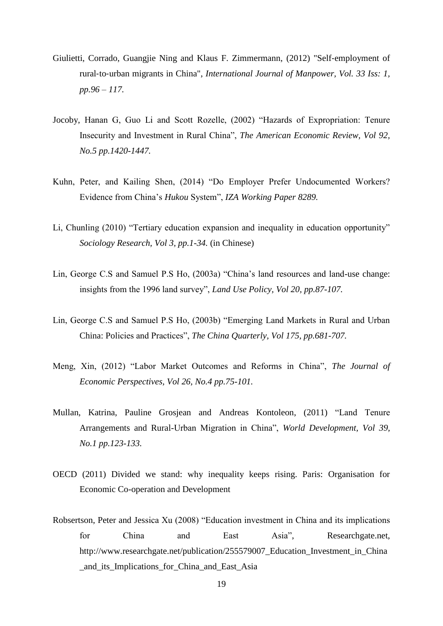- Giulietti, Corrado, Guangjie Ning and Klaus F. Zimmermann, (2012) "Self‐employment of rural‐to‐urban migrants in China", *International Journal of Manpower, Vol. 33 Iss: 1, pp.96 – 117.*
- Jocoby, Hanan G, Guo Li and Scott Rozelle, (2002) "Hazards of Expropriation: Tenure Insecurity and Investment in Rural China", *The American Economic Review, Vol 92, No.5 pp.1420-1447.*
- Kuhn, Peter, and Kailing Shen, (2014) "Do Employer Prefer Undocumented Workers? Evidence from China"s *Hukou* System", *IZA Working Paper 8289.*
- Li, Chunling (2010) "Tertiary education expansion and inequality in education opportunity" *Sociology Research, Vol 3, pp.1-34.* (in Chinese)
- Lin, George C.S and Samuel P.S Ho, (2003a) "China"s land resources and land-use change: insights from the 1996 land survey", *Land Use Policy, Vol 20, pp.87-107.*
- Lin, George C.S and Samuel P.S Ho, (2003b) "Emerging Land Markets in Rural and Urban China: Policies and Practices", *The China Quarterly, Vol 175, pp.681-707.*
- Meng, Xin, (2012) "Labor Market Outcomes and Reforms in China", *The Journal of Economic Perspectives, Vol 26, No.4 pp.75-101.*
- Mullan, Katrina, Pauline Grosjean and Andreas Kontoleon, (2011) "Land Tenure Arrangements and Rural-Urban Migration in China", *World Development, Vol 39, No.1 pp.123-133.*
- OECD (2011) Divided we stand: why inequality keeps rising. Paris: Organisation for Economic Co-operation and Development
- Robsertson, Peter and Jessica Xu (2008) "Education investment in China and its implications for China and East Asia", Researchgate.net, http://www.researchgate.net/publication/255579007\_Education\_Investment\_in\_China \_and\_its\_Implications\_for\_China\_and\_East\_Asia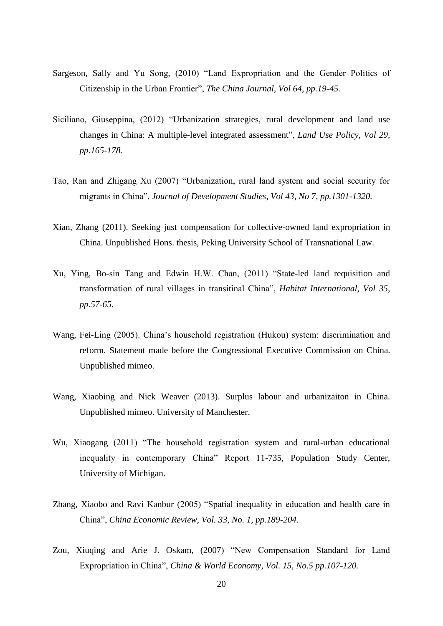- Sargeson, Sally and Yu Song, (2010) "Land Expropriation and the Gender Politics of Citizenship in the Urban Frontier", *The China Journal, Vol 64, pp.19-45.*
- Siciliano, Giuseppina, (2012) "Urbanization strategies, rural development and land use changes in China: A multiple-level integrated assessment", *Land Use Policy, Vol 29, pp.165-178.*
- Tao, Ran and Zhigang Xu (2007) "Urbanization, rural land system and social security for migrants in China", *Journal of Development Studies, Vol 43, No 7, pp.1301-1320.*
- Xian, Zhang (2011). Seeking just compensation for collective-owned land expropriation in China. Unpublished Hons. thesis, Peking University School of Transnational Law.
- Xu, Ying, Bo-sin Tang and Edwin H.W. Chan, (2011) "State-led land requisition and transformation of rural villages in transitinal China", *Habitat International, Vol 35, pp.57-65.*
- Wang, Fei-Ling (2005). China"s household registration (Hukou) system: discrimination and reform. Statement made before the Congressional Executive Commission on China. Unpublished mimeo.
- Wang, Xiaobing and Nick Weaver (2013). Surplus labour and urbanizaiton in China. Unpublished mimeo. University of Manchester.
- Wu, Xiaogang (2011) "The household registration system and rural-urban educational inequality in contemporary China" Report 11-735, Population Study Center, University of Michigan.
- Zhang, Xiaobo and Ravi Kanbur (2005) "Spatial inequality in education and health care in China", *China Economic Review, Vol. 33, No. 1, pp.189-204.*
- Zou, Xiuqing and Arie J. Oskam, (2007) "New Compensation Standard for Land Expropriation in China", *China & World Economy, Vol. 15, No.5 pp.107-120.*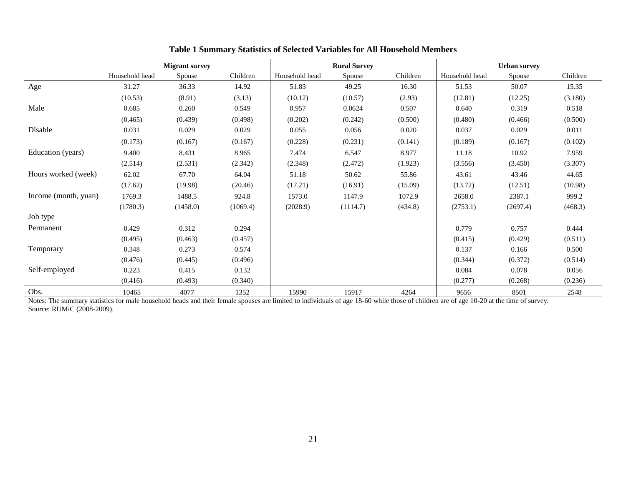|                      | <b>Migrant survey</b> |          |          | <b>Rural Survey</b> |          |          | <b>Urban survey</b> |          |          |
|----------------------|-----------------------|----------|----------|---------------------|----------|----------|---------------------|----------|----------|
|                      | Household head        | Spouse   | Children | Household head      | Spouse   | Children | Household head      | Spouse   | Children |
| Age                  | 31.27                 | 36.33    | 14.92    | 51.83               | 49.25    | 16.30    | 51.53               | 50.07    | 15.35    |
|                      | (10.53)               | (8.91)   | (3.13)   | (10.12)             | (10.57)  | (2.93)   | (12.81)             | (12.25)  | (3.180)  |
| Male                 | 0.685                 | 0.260    | 0.549    | 0.957               | 0.0624   | 0.507    | 0.640               | 0.319    | 0.518    |
|                      | (0.465)               | (0.439)  | (0.498)  | (0.202)             | (0.242)  | (0.500)  | (0.480)             | (0.466)  | (0.500)  |
| Disable              | 0.031                 | 0.029    | 0.029    | 0.055               | 0.056    | 0.020    | 0.037               | 0.029    | 0.011    |
|                      | (0.173)               | (0.167)  | (0.167)  | (0.228)             | (0.231)  | (0.141)  | (0.189)             | (0.167)  | (0.102)  |
| Education (years)    | 9.400                 | 8.431    | 8.965    | 7.474               | 6.547    | 8.977    | 11.18               | 10.92    | 7.959    |
|                      | (2.514)               | (2.531)  | (2.342)  | (2.348)             | (2.472)  | (1.923)  | (3.556)             | (3.450)  | (3.307)  |
| Hours worked (week)  | 62.02                 | 67.70    | 64.04    | 51.18               | 50.62    | 55.86    | 43.61               | 43.46    | 44.65    |
|                      | (17.62)               | (19.98)  | (20.46)  | (17.21)             | (16.91)  | (15.09)  | (13.72)             | (12.51)  | (10.98)  |
| Income (month, yuan) | 1769.3                | 1488.5   | 924.8    | 1573.0              | 1147.9   | 1072.9   | 2658.0              | 2387.1   | 999.2    |
|                      | (1780.3)              | (1458.0) | (1069.4) | (2028.9)            | (1114.7) | (434.8)  | (2753.1)            | (2697.4) | (468.3)  |
| Job type             |                       |          |          |                     |          |          |                     |          |          |
| Permanent            | 0.429                 | 0.312    | 0.294    |                     |          |          | 0.779               | 0.757    | 0.444    |
|                      | (0.495)               | (0.463)  | (0.457)  |                     |          |          | (0.415)             | (0.429)  | (0.511)  |
| Temporary            | 0.348                 | 0.273    | 0.574    |                     |          |          | 0.137               | 0.166    | 0.500    |
|                      | (0.476)               | (0.445)  | (0.496)  |                     |          |          | (0.344)             | (0.372)  | (0.514)  |
| Self-employed        | 0.223                 | 0.415    | 0.132    |                     |          |          | 0.084               | 0.078    | 0.056    |
|                      | (0.416)               | (0.493)  | (0.340)  |                     |          |          | (0.277)             | (0.268)  | (0.236)  |
| Obs.                 | 10465                 | 4077     | 1352     | 15990               | 15917    | 4264     | 9656                | 8501     | 2548     |

#### **Table 1 Summary Statistics of Selected Variables for All Household Members**

Notes: The summary statistics for male household heads and their female spouses are limited to individuals of age 18-60 while those of children are of age 10-20 at the time of survey. Source: RUMiC (2008-2009).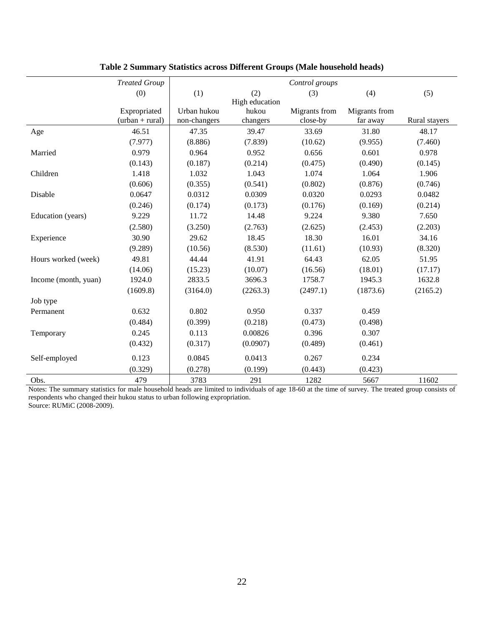|                      | <b>Treated Group</b> | Control groups |                |               |               |               |
|----------------------|----------------------|----------------|----------------|---------------|---------------|---------------|
|                      | (0)                  | (1)            | (2)            | (3)           | (4)           | (5)           |
|                      |                      |                | High education |               |               |               |
|                      | Expropriated         | Urban hukou    | hukou          | Migrants from | Migrants from |               |
|                      | $(urban + rural)$    | non-changers   | changers       | close-by      | far away      | Rural stayers |
| Age                  | 46.51                | 47.35          | 39.47          | 33.69         | 31.80         | 48.17         |
|                      | (7.977)              | (8.886)        | (7.839)        | (10.62)       | (9.955)       | (7.460)       |
| Married              | 0.979                | 0.964          | 0.952          | 0.656         | 0.601         | 0.978         |
|                      | (0.143)              | (0.187)        | (0.214)        | (0.475)       | (0.490)       | (0.145)       |
| Children             | 1.418                | 1.032          | 1.043          | 1.074         | 1.064         | 1.906         |
|                      | (0.606)              | (0.355)        | (0.541)        | (0.802)       | (0.876)       | (0.746)       |
| Disable              | 0.0647               | 0.0312         | 0.0309         | 0.0320        | 0.0293        | 0.0482        |
|                      | (0.246)              | (0.174)        | (0.173)        | (0.176)       | (0.169)       | (0.214)       |
| Education (years)    | 9.229                | 11.72          | 14.48          | 9.224         | 9.380         | 7.650         |
|                      | (2.580)              | (3.250)        | (2.763)        | (2.625)       | (2.453)       | (2.203)       |
| Experience           | 30.90                | 29.62          | 18.45          | 18.30         | 16.01         | 34.16         |
|                      | (9.289)              | (10.56)        | (8.530)        | (11.61)       | (10.93)       | (8.320)       |
| Hours worked (week)  | 49.81                | 44.44          | 41.91          | 64.43         | 62.05         | 51.95         |
|                      | (14.06)              | (15.23)        | (10.07)        | (16.56)       | (18.01)       | (17.17)       |
| Income (month, yuan) | 1924.0               | 2833.5         | 3696.3         | 1758.7        | 1945.3        | 1632.8        |
|                      | (1609.8)             | (3164.0)       | (2263.3)       | (2497.1)      | (1873.6)      | (2165.2)      |
| Job type             |                      |                |                |               |               |               |
| Permanent            | 0.632                | 0.802          | 0.950          | 0.337         | 0.459         |               |
|                      | (0.484)              | (0.399)        | (0.218)        | (0.473)       | (0.498)       |               |
| Temporary            | 0.245                | 0.113          | 0.00826        | 0.396         | 0.307         |               |
|                      | (0.432)              | (0.317)        | (0.0907)       | (0.489)       | (0.461)       |               |
| Self-employed        | 0.123                | 0.0845         | 0.0413         | 0.267         | 0.234         |               |
|                      | (0.329)              | (0.278)        | (0.199)        | (0.443)       | (0.423)       |               |
| Obs.                 | 479                  | 3783           | 291            | 1282          | 5667          | 11602         |

**Table 2 Summary Statistics across Different Groups (Male household heads)**

Notes: The summary statistics for male household heads are limited to individuals of age 18-60 at the time of survey. The treated group consists of respondents who changed their hukou status to urban following expropriation.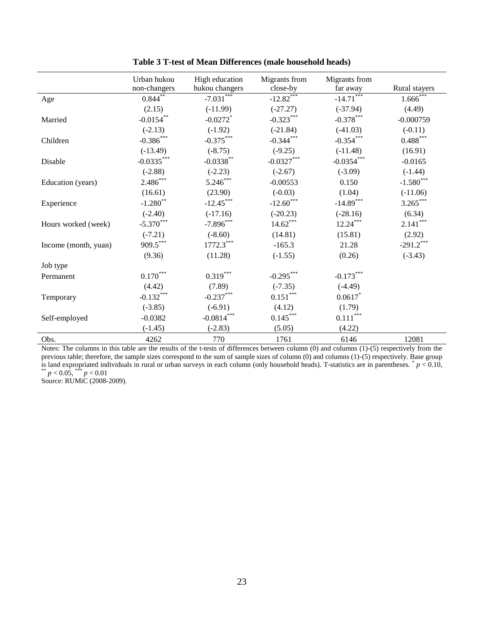|                      | Urban hukou            | High education         | Migrants from          | Migrants from          |               |
|----------------------|------------------------|------------------------|------------------------|------------------------|---------------|
|                      | non-changers           | hukou changers         | close-by               | far away               | Rural stayers |
| Age                  | $0.844***$             | $-7.031***$            | $-12.82***$            | $-14.71***$            | $1.666$ ***   |
|                      | (2.15)                 | $(-11.99)$             | $(-27.27)$             | $(-37.94)$             | (4.49)        |
| Married              | $-0.0154$ **           | $-0.0272$ <sup>*</sup> | $-0.323***$            | $-0.378***$            | $-0.000759$   |
|                      | $(-2.13)$              | $(-1.92)$              | $(-21.84)$             | $(-41.03)$             | $(-0.11)$     |
| Children             | $-0.386$ ***           | $-0.375***$            | $-0.344***$            | $-0.354***$            | $0.488***$    |
|                      | $(-13.49)$             | $(-8.75)$              | $(-9.25)$              | $(-11.48)$             | (16.91)       |
| Disable              | $-0.0335***$           | $-0.0338**$            | $-0.0327***$           | $-0.0354***$           | $-0.0165$     |
|                      | $(-2.88)$              | $(-2.23)$              | $(-2.67)$              | $(-3.09)$              | $(-1.44)$     |
| Education (years)    | $2.486***$             | $5.246***$             | $-0.00553$             | 0.150                  | $-1.580***$   |
|                      | (16.61)                | (23.90)                | $(-0.03)$              | (1.04)                 | $(-11.06)$    |
| Experience           | $-1.280$ **            | $-12.45***$            | $-12.60$ ***           | $-14.89***$            | $3.265***$    |
|                      | $(-2.40)$              | $(-17.16)$             | $(-20.23)$             | $(-28.16)$             | (6.34)        |
| Hours worked (week)  | $-5.370***$            | $-7.896***$            | $14.62***$             | $12.24***$             | $2.141***$    |
|                      | $(-7.21)$              | $(-8.60)$              | (14.81)                | (15.81)                | (2.92)        |
| Income (month, yuan) | 909.5***               | $1772.3***$            | $-165.3$               | 21.28                  | $-291.2$ ***  |
|                      | (9.36)                 | (11.28)                | $(-1.55)$              | (0.26)                 | $(-3.43)$     |
| Job type             |                        |                        |                        |                        |               |
| Permanent            | $0.170^{\ast\ast\ast}$ | $0.319***$             | $-0.295***$            | $-0.173***$            |               |
|                      | (4.42)                 | (7.89)                 | $(-7.35)$              | $(-4.49)$              |               |
| Temporary            | $-0.132***$            | $-0.237***$            | $0.151^{\ast\ast\ast}$ | $0.0617$ *             |               |
|                      | $(-3.85)$              | $(-6.91)$              | (4.12)                 | (1.79)                 |               |
| Self-employed        | $-0.0382$              | $-0.0814***$           | $0.145***$             | $0.111^{\ast\ast\ast}$ |               |
|                      | $(-1.45)$              | $(-2.83)$              | (5.05)                 | (4.22)                 |               |
| Obs.                 | 4262                   | 770                    | 1761                   | 6146                   | 12081         |

**Table 3 T-test of Mean Differences (male household heads)**

Notes: The columns in this table are the results of the t-tests of differences between column (0) and columns (1)-(5) respectively from the previous table; therefore, the sample sizes correspond to the sum of sample sizes of column (0) and columns (1)-(5) respectively. Base group is land expropriated individuals in rural or urban surveys in each column (only household heads). T-statistics are in parentheses.  $p < 0.10$ , \*\*  $p < 0.05$ , \*\*\*  $p < 0.01$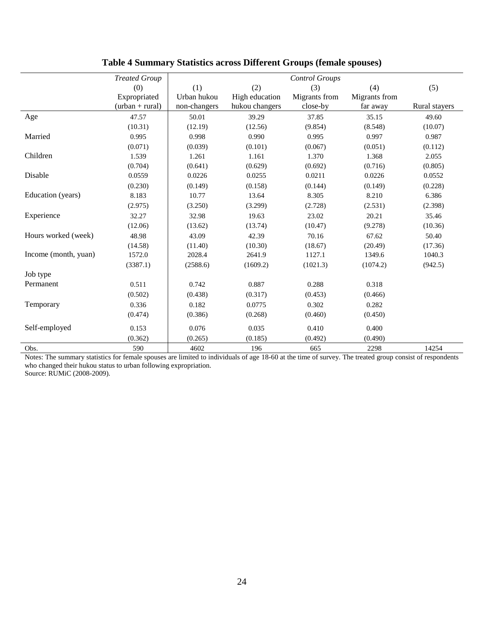|                      | <b>Treated Group</b> |              |                | <b>Control Groups</b> |               |               |
|----------------------|----------------------|--------------|----------------|-----------------------|---------------|---------------|
|                      | (0)                  | (1)          | (2)            | (3)                   | (4)           | (5)           |
|                      | Expropriated         | Urban hukou  | High education | Migrants from         | Migrants from |               |
|                      | $(urban + rural)$    | non-changers | hukou changers | close-by              | far away      | Rural stayers |
| Age                  | 47.57                | 50.01        | 39.29          | 37.85                 | 35.15         | 49.60         |
|                      | (10.31)              | (12.19)      | (12.56)        | (9.854)               | (8.548)       | (10.07)       |
| Married              | 0.995                | 0.998        | 0.990          | 0.995                 | 0.997         | 0.987         |
|                      | (0.071)              | (0.039)      | (0.101)        | (0.067)               | (0.051)       | (0.112)       |
| Children             | 1.539                | 1.261        | 1.161          | 1.370                 | 1.368         | 2.055         |
|                      | (0.704)              | (0.641)      | (0.629)        | (0.692)               | (0.716)       | (0.805)       |
| Disable              | 0.0559               | 0.0226       | 0.0255         | 0.0211                | 0.0226        | 0.0552        |
|                      | (0.230)              | (0.149)      | (0.158)        | (0.144)               | (0.149)       | (0.228)       |
| Education (years)    | 8.183                | 10.77        | 13.64          | 8.305                 | 8.210         | 6.386         |
|                      | (2.975)              | (3.250)      | (3.299)        | (2.728)               | (2.531)       | (2.398)       |
| Experience           | 32.27                | 32.98        | 19.63          | 23.02                 | 20.21         | 35.46         |
|                      | (12.06)              | (13.62)      | (13.74)        | (10.47)               | (9.278)       | (10.36)       |
| Hours worked (week)  | 48.98                | 43.09        | 42.39          | 70.16                 | 67.62         | 50.40         |
|                      | (14.58)              | (11.40)      | (10.30)        | (18.67)               | (20.49)       | (17.36)       |
| Income (month, yuan) | 1572.0               | 2028.4       | 2641.9         | 1127.1                | 1349.6        | 1040.3        |
|                      | (3387.1)             | (2588.6)     | (1609.2)       | (1021.3)              | (1074.2)      | (942.5)       |
| Job type             |                      |              |                |                       |               |               |
| Permanent            | 0.511                | 0.742        | 0.887          | 0.288                 | 0.318         |               |
|                      | (0.502)              | (0.438)      | (0.317)        | (0.453)               | (0.466)       |               |
| Temporary            | 0.336                | 0.182        | 0.0775         | 0.302                 | 0.282         |               |
|                      | (0.474)              | (0.386)      | (0.268)        | (0.460)               | (0.450)       |               |
| Self-employed        | 0.153                | 0.076        | 0.035          | 0.410                 | 0.400         |               |
|                      | (0.362)              | (0.265)      | (0.185)        | (0.492)               | (0.490)       |               |
| Obs.                 | 590                  | 4602         | 196            | 665                   | 2298          | 14254         |

### **Table 4 Summary Statistics across Different Groups (female spouses)**

Notes: The summary statistics for female spouses are limited to individuals of age 18-60 at the time of survey. The treated group consist of respondents who changed their hukou status to urban following expropriation.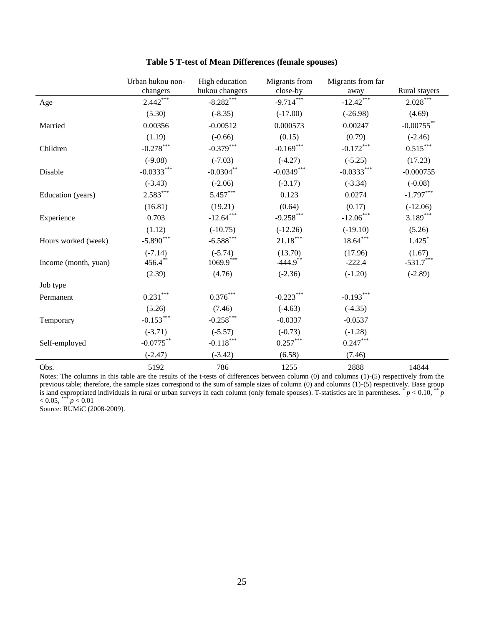|                       | Urban hukou non-<br>changers | High education<br>hukou changers | Migrants from<br>close-by | Migrants from far<br>away | Rural stayers          |
|-----------------------|------------------------------|----------------------------------|---------------------------|---------------------------|------------------------|
| Age                   | $2.442***$                   | $-8.282***$                      | $-9.714***$               | $-12.42***$               | $2.028^{\ast\ast\ast}$ |
|                       | (5.30)                       | $(-8.35)$                        | $(-17.00)$                | $(-26.98)$                | (4.69)                 |
| Married               | 0.00356                      | $-0.00512$                       | 0.000573                  | 0.00247                   | $-0.00755***$          |
|                       | (1.19)                       | $(-0.66)$                        | (0.15)                    | (0.79)                    | $(-2.46)$              |
| Children              | $-0.278***$                  | $-0.379***$                      | $-0.169***$               | $-0.172***$               | $0.515^{\ast\ast\ast}$ |
|                       | $(-9.08)$                    | $(-7.03)$                        | $(-4.27)$                 | $(-5.25)$                 | (17.23)                |
| Disable               | $-0.0333***$                 | $-0.0304$ **                     | $-0.0349***$              | $-0.0333***$              | $-0.000755$            |
|                       | $(-3.43)$                    | $(-2.06)$                        | $(-3.17)$                 | $(-3.34)$                 | $(-0.08)$              |
| Education (years)     | $2.583***$                   | $5.457***$                       | 0.123                     | 0.0274                    | $-1.797***$            |
|                       | (16.81)                      | (19.21)                          | (0.64)                    | (0.17)                    | $(-12.06)$             |
| Experience            | 0.703                        | $-12.64***$                      | $-9.258***$               | $-12.06***$               | $3.189***$             |
|                       | (1.12)                       | $(-10.75)$                       | $(-12.26)$                | $(-19.10)$                | (5.26)                 |
| Hours worked (week)   | $-5.890***$                  | $-6.588***$                      | $21.18^{\ast\ast\ast}$    | $18.64***$                | $1.425$ <sup>*</sup>   |
| Income (month, yuan)  | $(-7.14)$<br>$456.4***$      | $(-5.74)$<br>$1069.9***$         | (13.70)<br>$-444.9$ **    | (17.96)<br>$-222.4$       | (1.67)<br>$-531.7***$  |
|                       | (2.39)                       | (4.76)                           | $(-2.36)$                 | $(-1.20)$                 | $(-2.89)$              |
| Job type<br>Permanent | $0.231^{\ast\ast\ast}$       | $0.376^{\ast\ast\ast}$           | $-0.223***$               | $-0.193***$               |                        |
|                       | (5.26)                       | (7.46)                           | $(-4.63)$                 | $(-4.35)$                 |                        |
| Temporary             | $-0.153***$                  | $-0.258***$                      | $-0.0337$                 | $-0.0537$                 |                        |
|                       | $(-3.71)$                    | $(-5.57)$                        | $(-0.73)$                 | $(-1.28)$                 |                        |
| Self-employed         | $-0.0775***$                 | $-0.118***$                      | $0.257***$                | $0.247***$                |                        |
|                       | $(-2.47)$                    | $(-3.42)$                        | (6.58)                    | (7.46)                    |                        |
| Obs.                  | 5192                         | 786                              | 1255                      | 2888                      | 14844                  |

**Table 5 T-test of Mean Differences (female spouses)**

Notes: The columns in this table are the results of the t-tests of differences between column (0) and columns (1)-(5) respectively from the previous table; therefore, the sample sizes correspond to the sum of sample sizes of column (0) and columns (1)-(5) respectively. Base group is land expropriated individuals in rural or urban surveys in each column (only female spouses). T-statistics are in parentheses. \* *p* < 0.10, \*\* *p*  $< 0.05,$  \*\*\*  $p < 0.01$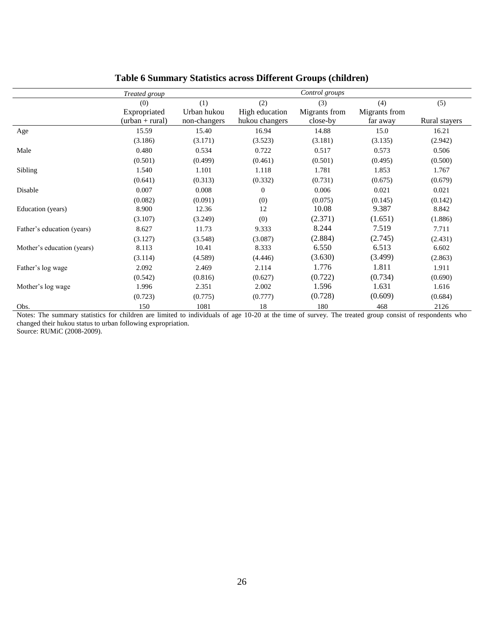|                            | Treated group     |              |                | Control groups |               |               |
|----------------------------|-------------------|--------------|----------------|----------------|---------------|---------------|
|                            | (0)               | (1)          | (2)            | (3)            | (4)           | (5)           |
|                            | Expropriated      | Urban hukou  | High education | Migrants from  | Migrants from |               |
|                            | $(urban + rural)$ | non-changers | hukou changers | close-by       | far away      | Rural stayers |
| Age                        | 15.59             | 15.40        | 16.94          | 14.88          | 15.0          | 16.21         |
|                            | (3.186)           | (3.171)      | (3.523)        | (3.181)        | (3.135)       | (2.942)       |
| Male                       | 0.480             | 0.534        | 0.722          | 0.517          | 0.573         | 0.506         |
|                            | (0.501)           | (0.499)      | (0.461)        | (0.501)        | (0.495)       | (0.500)       |
| Sibling                    | 1.540             | 1.101        | 1.118          | 1.781          | 1.853         | 1.767         |
|                            | (0.641)           | (0.313)      | (0.332)        | (0.731)        | (0.675)       | (0.679)       |
| Disable                    | 0.007             | 0.008        | $\theta$       | 0.006          | 0.021         | 0.021         |
|                            | (0.082)           | (0.091)      | (0)            | (0.075)        | (0.145)       | (0.142)       |
| Education (years)          | 8.900             | 12.36        | 12             | 10.08          | 9.387         | 8.842         |
|                            | (3.107)           | (3.249)      | (0)            | (2.371)        | (1.651)       | (1.886)       |
| Father's education (years) | 8.627             | 11.73        | 9.333          | 8.244          | 7.519         | 7.711         |
|                            | (3.127)           | (3.548)      | (3.087)        | (2.884)        | (2.745)       | (2.431)       |
| Mother's education (years) | 8.113             | 10.41        | 8.333          | 6.550          | 6.513         | 6.602         |
|                            | (3.114)           | (4.589)      | (4.446)        | (3.630)        | (3.499)       | (2.863)       |
| Father's log wage          | 2.092             | 2.469        | 2.114          | 1.776          | 1.811         | 1.911         |
|                            | (0.542)           | (0.816)      | (0.627)        | (0.722)        | (0.734)       | (0.690)       |
| Mother's log wage          | 1.996             | 2.351        | 2.002          | 1.596          | 1.631         | 1.616         |
|                            | (0.723)           | (0.775)      | (0.777)        | (0.728)        | (0.609)       | (0.684)       |
| Obs.                       | 150               | 1081         | 18             | 180            | 468           | 2126          |

### **Table 6 Summary Statistics across Different Groups (children)**

Notes: The summary statistics for children are limited to individuals of age 10-20 at the time of survey. The treated group consist of respondents who changed their hukou status to urban following expropriation.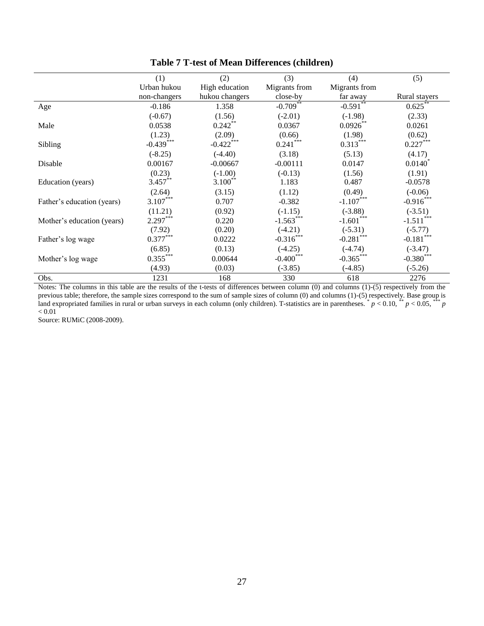|                            | (1)          | (2)            | (3)           | (4)           | (5)                   |
|----------------------------|--------------|----------------|---------------|---------------|-----------------------|
|                            | Urban hukou  | High education | Migrants from | Migrants from |                       |
|                            | non-changers | hukou changers | close-by      | far away      | Rural stayers         |
| Age                        | $-0.186$     | 1.358          | $-0.709**$    | $-0.591**$    | 0.625                 |
|                            | $(-0.67)$    | (1.56)         | $(-2.01)$     | $(-1.98)$     | (2.33)                |
| Male                       | 0.0538       | $0.242**$      | 0.0367        | $0.0926***$   | 0.0261                |
|                            | (1.23)       | (2.09)         | (0.66)        | (1.98)        | (0.62)                |
| Sibling                    | $-0.439***$  | $-0.422$ ***   | $0.241***$    | $0.313***$    | $0.227***$            |
|                            | $(-8.25)$    | $(-4.40)$      | (3.18)        | (5.13)        | (4.17)                |
| Disable                    | 0.00167      | $-0.00667$     | $-0.00111$    | 0.0147        | $0.0140$ <sup>*</sup> |
|                            | (0.23)       | $(-1.00)$      | $(-0.13)$     | (1.56)        | (1.91)                |
| Education (years)          | $3.457***$   | $3.100**$      | 1.183         | 0.487         | $-0.0578$             |
|                            | (2.64)       | (3.15)         | (1.12)        | (0.49)        | $(-0.06)$             |
| Father's education (years) | $3.107***$   | 0.707          | $-0.382$      | $-1.107***$   | $-0.916***$           |
|                            | (11.21)      | (0.92)         | $(-1.15)$     | $(-3.88)$     | $(-3.51)$             |
| Mother's education (years) | $2.297***$   | 0.220          | $-1.563***$   | $-1.601***$   | $-1.511***$           |
|                            | (7.92)       | (0.20)         | $(-4.21)$     | $(-5.31)$     | $(-5.77)$             |
| Father's log wage          | $0.377***$   | 0.0222         | $-0.316***$   | $-0.281***$   | $-0.181***$           |
|                            | (6.85)       | (0.13)         | $(-4.25)$     | $(-4.74)$     | $(-3.47)$             |
| Mother's log wage          | $0.355***$   | 0.00644        | $-0.400$ ***  | $-0.365***$   | $-0.380$ ***          |
|                            | (4.93)       | (0.03)         | $(-3.85)$     | $(-4.85)$     | $(-5.26)$             |
| Obs.                       | 1231         | 168            | 330           | 618           | 2276                  |

**Table 7 T-test of Mean Differences (children)**

Notes: The columns in this table are the results of the t-tests of differences between column (0) and columns (1)-(5) respectively from the previous table; therefore, the sample sizes correspond to the sum of sample sizes of column (0) and columns (1)-(5) respectively. Base group is land expropriated families in rural or urban surveys in each column (only children). T-statistics are in parentheses.  $p < 0.10$ ,  $\binom{4}{r} p < 0.05$ ,  $\binom{4+1}{r} p$  $< 0.01$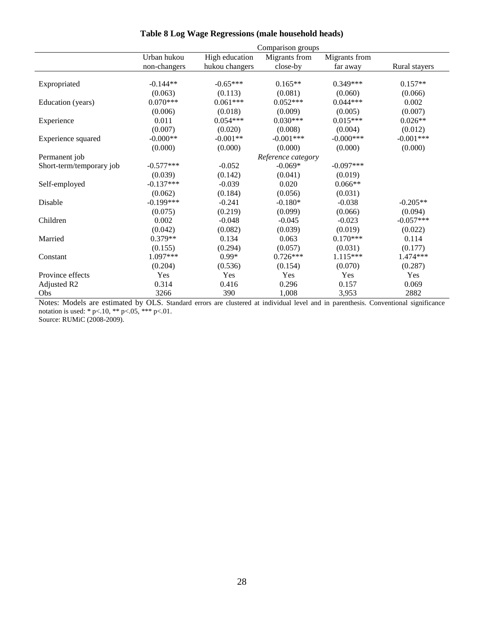|                          | Comparison groups |                |                    |               |               |  |
|--------------------------|-------------------|----------------|--------------------|---------------|---------------|--|
|                          | Urban hukou       | High education | Migrants from      | Migrants from |               |  |
|                          | non-changers      | hukou changers | close-by           | far away      | Rural stayers |  |
|                          |                   |                |                    |               |               |  |
| Expropriated             | $-0.144**$        | $-0.65***$     | $0.165**$          | $0.349***$    | $0.157**$     |  |
|                          | (0.063)           | (0.113)        | (0.081)            | (0.060)       | (0.066)       |  |
| Education (years)        | $0.070***$        | $0.061***$     | $0.052***$         | $0.044***$    | 0.002         |  |
|                          | (0.006)           | (0.018)        | (0.009)            | (0.005)       | (0.007)       |  |
| Experience               | 0.011             | $0.054***$     | $0.030***$         | $0.015***$    | $0.026**$     |  |
|                          | (0.007)           | (0.020)        | (0.008)            | (0.004)       | (0.012)       |  |
| Experience squared       | $-0.000**$        | $-0.001**$     | $-0.001***$        | $-0.000***$   | $-0.001***$   |  |
|                          | (0.000)           | (0.000)        | (0.000)            | (0.000)       | (0.000)       |  |
| Permanent job            |                   |                | Reference category |               |               |  |
| Short-term/temporary job | $-0.577***$       | $-0.052$       | $-0.069*$          | $-0.097***$   |               |  |
|                          | (0.039)           | (0.142)        | (0.041)            | (0.019)       |               |  |
| Self-employed            | $-0.137***$       | $-0.039$       | 0.020              | $0.066**$     |               |  |
|                          | (0.062)           | (0.184)        | (0.056)            | (0.031)       |               |  |
| Disable                  | $-0.199***$       | $-0.241$       | $-0.180*$          | $-0.038$      | $-0.205**$    |  |
|                          | (0.075)           | (0.219)        | (0.099)            | (0.066)       | (0.094)       |  |
| Children                 | 0.002             | $-0.048$       | $-0.045$           | $-0.023$      | $-0.057***$   |  |
|                          | (0.042)           | (0.082)        | (0.039)            | (0.019)       | (0.022)       |  |
| Married                  | $0.379**$         | 0.134          | 0.063              | $0.170***$    | 0.114         |  |
|                          | (0.155)           | (0.294)        | (0.057)            | (0.031)       | (0.177)       |  |
| Constant                 | 1.097***          | $0.99*$        | $0.726***$         | $1.115***$    | 1.474***      |  |
|                          | (0.204)           | (0.536)        | (0.154)            | (0.070)       | (0.287)       |  |
| Province effects         | Yes               | Yes            | Yes                | Yes           | Yes           |  |
| Adjusted R2              | 0.314             | 0.416          | 0.296              | 0.157         | 0.069         |  |
| Obs                      | 3266              | 390            | 1,008              | 3,953         | 2882          |  |

#### **Table 8 Log Wage Regressions (male household heads)**

Notes: Models are estimated by OLS. Standard errors are clustered at individual level and in parenthesis. Conventional significance notation is used:  $* p<.10$ ,  $* p<.05$ ,  $* * p<.01$ .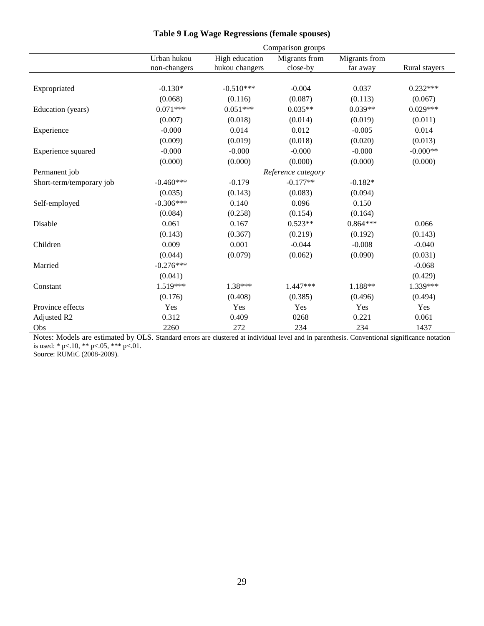|                          | Comparison groups |                |                    |               |               |  |
|--------------------------|-------------------|----------------|--------------------|---------------|---------------|--|
|                          | Urban hukou       | High education | Migrants from      | Migrants from |               |  |
|                          | non-changers      | hukou changers | close-by           | far away      | Rural stayers |  |
|                          |                   |                |                    |               |               |  |
| Expropriated             | $-0.130*$         | $-0.510***$    | $-0.004$           | 0.037         | $0.232***$    |  |
|                          | (0.068)           | (0.116)        | (0.087)            | (0.113)       | (0.067)       |  |
| Education (years)        | $0.071***$        | $0.051***$     | $0.035**$          | $0.039**$     | $0.029***$    |  |
|                          | (0.007)           | (0.018)        | (0.014)            | (0.019)       | (0.011)       |  |
| Experience               | $-0.000$          | 0.014          | 0.012              | $-0.005$      | 0.014         |  |
|                          | (0.009)           | (0.019)        | (0.018)            | (0.020)       | (0.013)       |  |
| Experience squared       | $-0.000$          | $-0.000$       | $-0.000$           | $-0.000$      | $-0.000**$    |  |
|                          | (0.000)           | (0.000)        | (0.000)            | (0.000)       | (0.000)       |  |
| Permanent job            |                   |                | Reference category |               |               |  |
| Short-term/temporary job | $-0.460***$       | $-0.179$       | $-0.177**$         | $-0.182*$     |               |  |
|                          | (0.035)           | (0.143)        | (0.083)            | (0.094)       |               |  |
| Self-employed            | $-0.306***$       | 0.140          | 0.096              | 0.150         |               |  |
|                          | (0.084)           | (0.258)        | (0.154)            | (0.164)       |               |  |
| Disable                  | 0.061             | 0.167          | $0.523**$          | $0.864***$    | 0.066         |  |
|                          | (0.143)           | (0.367)        | (0.219)            | (0.192)       | (0.143)       |  |
| Children                 | 0.009             | 0.001          | $-0.044$           | $-0.008$      | $-0.040$      |  |
|                          | (0.044)           | (0.079)        | (0.062)            | (0.090)       | (0.031)       |  |
| Married                  | $-0.276***$       |                |                    |               | $-0.068$      |  |
|                          | (0.041)           |                |                    |               | (0.429)       |  |
| Constant                 | 1.519***          | 1.38***        | 1.447***           | 1.188**       | 1.339***      |  |
|                          | (0.176)           | (0.408)        | (0.385)            | (0.496)       | (0.494)       |  |
| Province effects         | Yes               | Yes            | Yes                | Yes           | Yes           |  |
| Adjusted R2              | 0.312             | 0.409          | 0268               | 0.221         | 0.061         |  |
| Obs                      | 2260              | 272            | 234                | 234           | 1437          |  |

### **Table 9 Log Wage Regressions (female spouses)**

Notes: Models are estimated by OLS. Standard errors are clustered at individual level and in parenthesis. Conventional significance notation is used: \* p<.10, \*\* p<.05, \*\*\* p<.01.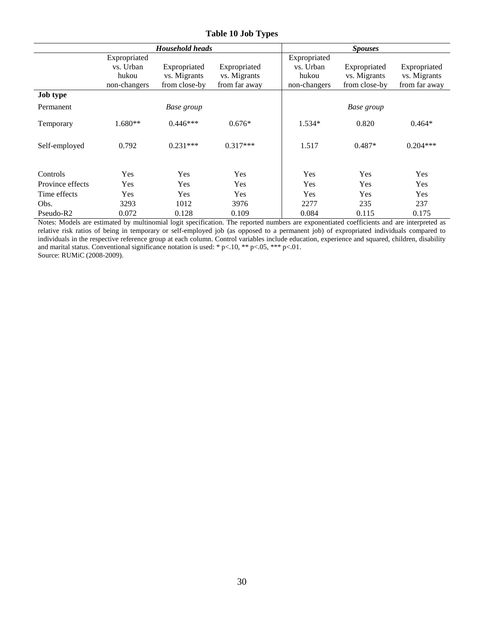|                  |              | <b>Household heads</b> |               |              | <b>Spouses</b> |               |
|------------------|--------------|------------------------|---------------|--------------|----------------|---------------|
|                  | Expropriated |                        |               | Expropriated |                |               |
|                  | vs. Urban    | Expropriated           | Expropriated  | vs. Urban    | Expropriated   | Expropriated  |
|                  | hukou        | vs. Migrants           | vs. Migrants  | hukou        | vs. Migrants   | vs. Migrants  |
|                  | non-changers | from close-by          | from far away | non-changers | from close-by  | from far away |
| <b>Job type</b>  |              |                        |               |              |                |               |
| Permanent        |              | Base group             |               |              | Base group     |               |
| Temporary        | $1.680**$    | $0.446***$             | $0.676*$      | $1.534*$     | 0.820          | $0.464*$      |
| Self-employed    | 0.792        | $0.231***$             | $0.317***$    | 1.517        | $0.487*$       | $0.204***$    |
| Controls         | Yes          | Yes                    | Yes           | Yes          | Yes            | Yes           |
| Province effects | Yes          | <b>Yes</b>             | Yes           | Yes          | <b>Yes</b>     | Yes           |
| Time effects     | Yes          | Yes                    | Yes           | Yes          | Yes            | Yes           |
| Obs.             | 3293         | 1012                   | 3976          | 2277         | 235            | 237           |
| Pseudo-R2        | 0.072        | 0.128                  | 0.109         | 0.084        | 0.115          | 0.175         |

**Table 10 Job Types** 

Notes: Models are estimated by multinomial logit specification. The reported numbers are exponentiated coefficients and are interpreted as relative risk ratios of being in temporary or self-employed job (as opposed to a permanent job) of expropriated individuals compared to individuals in the respective reference group at each column. Control variables include education, experience and squared, children, disability and marital status. Conventional significance notation is used: \* p<.10, \*\* p<.05, \*\*\* p<.01. Source: RUMiC (2008-2009).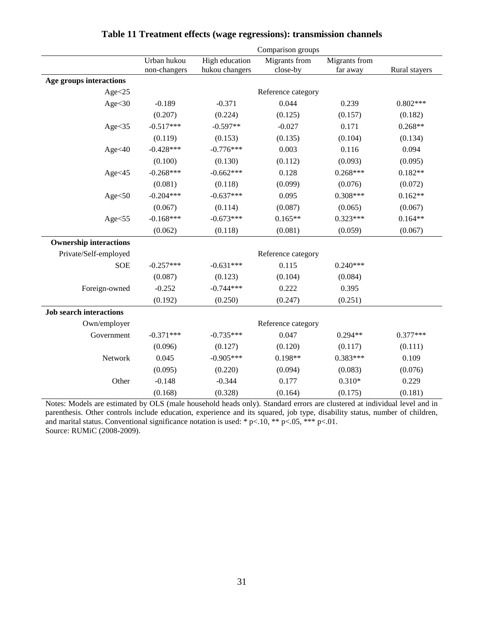|                                |              |                | Comparison groups  |               |               |
|--------------------------------|--------------|----------------|--------------------|---------------|---------------|
|                                | Urban hukou  | High education | Migrants from      | Migrants from |               |
|                                | non-changers | hukou changers | close-by           | far away      | Rural stayers |
| Age groups interactions        |              |                |                    |               |               |
| Age < 25                       |              |                | Reference category |               |               |
| Age $<$ 30                     | $-0.189$     | $-0.371$       | 0.044              | 0.239         | $0.802***$    |
|                                | (0.207)      | (0.224)        | (0.125)            | (0.157)       | (0.182)       |
| Age $<$ 35                     | $-0.517***$  | $-0.597**$     | $-0.027$           | 0.171         | $0.268**$     |
|                                | (0.119)      | (0.153)        | (0.135)            | (0.104)       | (0.134)       |
| Age<40                         | $-0.428***$  | $-0.776***$    | 0.003              | 0.116         | 0.094         |
|                                | (0.100)      | (0.130)        | (0.112)            | (0.093)       | (0.095)       |
| Age<45                         | $-0.268***$  | $-0.662***$    | 0.128              | $0.268***$    | $0.182**$     |
|                                | (0.081)      | (0.118)        | (0.099)            | (0.076)       | (0.072)       |
| Age $<$ 50                     | $-0.204***$  | $-0.637***$    | 0.095              | $0.308***$    | $0.162**$     |
|                                | (0.067)      | (0.114)        | (0.087)            | (0.065)       | (0.067)       |
| Age $<$ 55                     | $-0.168***$  | $-0.673***$    | $0.165**$          | $0.323***$    | $0.164**$     |
|                                | (0.062)      | (0.118)        | (0.081)            | (0.059)       | (0.067)       |
| <b>Ownership interactions</b>  |              |                |                    |               |               |
| Private/Self-employed          |              |                | Reference category |               |               |
| <b>SOE</b>                     | $-0.257***$  | $-0.631***$    | 0.115              | $0.240***$    |               |
|                                | (0.087)      | (0.123)        | (0.104)            | (0.084)       |               |
| Foreign-owned                  | $-0.252$     | $-0.744***$    | 0.222              | 0.395         |               |
|                                | (0.192)      | (0.250)        | (0.247)            | (0.251)       |               |
| <b>Job search interactions</b> |              |                |                    |               |               |
| Own/employer                   |              |                | Reference category |               |               |
| Government                     | $-0.371***$  | $-0.735***$    | 0.047              | $0.294**$     | $0.377***$    |
|                                | (0.096)      | (0.127)        | (0.120)            | (0.117)       | (0.111)       |
| Network                        | 0.045        | $-0.905***$    | $0.198**$          | $0.383***$    | 0.109         |
|                                | (0.095)      | (0.220)        | (0.094)            | (0.083)       | (0.076)       |
| Other                          | $-0.148$     | $-0.344$       | 0.177              | $0.310*$      | 0.229         |
|                                | (0.168)      | (0.328)        | (0.164)            | (0.175)       | (0.181)       |

### **Table 11 Treatment effects (wage regressions): transmission channels**

Notes: Models are estimated by OLS (male household heads only). Standard errors are clustered at individual level and in parenthesis. Other controls include education, experience and its squared, job type, disability status, number of children, and marital status. Conventional significance notation is used: \* p<.10, \*\* p<.05, \*\*\* p<.01. Source: RUMiC (2008-2009).